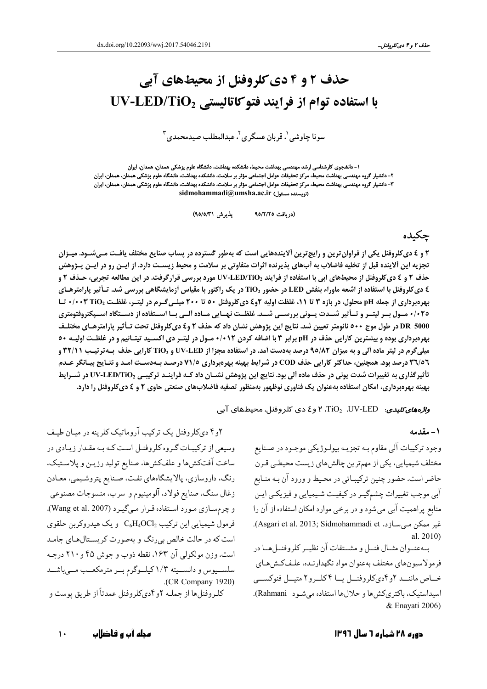# حذف ۲ و ۴ دی کلروفنل از محیطهای آبی UV-LED/TiO2 با استفاده توام از فرایند فتوکاتالیستی

سونا چاوشي'، قربان عسگري'، عبدالمطلب صيدمحمدي "

۱- دانشجوی کارشناسی ارشد مهندسی بهداشت محیط، دانشکده بهداشت، دانشگاه علوم پزشکی همدان، همدان، ایران ۲- دانشیار گروه مهندسی بهداشت محیطاً، مرکز تحقیقات عوامل اجتماعی مؤثر بر سلامت، دانشکده بهداشت، دانشگاه علوم پزشکی همدان، همدان، ایران ۳- دانشیار گروه مهندسی بهداشت محیط، مرکز تحقیقات عوامل اجتماعی مؤثر بر سلامت، دانشکده بهداشت، دانشگاه علوم پزشکی همدان، همدان، ایران sidmohammadi@umsha.ac.ir (نویسنده مسئول)

> (دريافت ٩٥/٢/٢٥ يذيرش ٩٥/٥/٣١)

### چکىدە

۲ و ٤ دي كلروفنل يكي از فراوان ترين و رايج ترين ألايندههايي است كه بهطور گسترده در پساب صنايع مختلف يافت مـي شـود. ميـزان تجزیه این آلاینده قبل از تخلیه فاضلاب به آبهای پذیرنده اثرات متفاوتی بر سلامت و محیط زیسـت دارد. از ایـن رو در ایـن پـژوهش حذف ۲ و ٤ دیکلروفنل از محیطهای اَبی با استفاده از فرایند VV-LED/TiO مورد بررسی قرارگرفت. در این مطالعه تجربی، حـذف ۲ و ٤ دىكلروفنل با استفاده از اشعه ماوراء بنفش LED در حضور TiO2 در يك راكتور با مقياس أزمايشگاهي بررسي شد. تـأثير پارامترهـاي بهرهبرداری از جمله pH محلول، در بازه ۳ تا ۱۱، غلظت اولیه ۶و٤ دی کلروفنل ٥٠ تا ٢٠٠ میلے گرم در لیتـر، غلظـت h+۲ ،۰۰۳ تـا ۲/۰۲٥ مـول بـر ليتـر و تـأثير شـدت يـوني بررسـي شـد. غلظـت نهـايي مـاده ألـي بـا اســتفاده از دســتگاه اســپكتروفتومتري DR 5000 در طول موج ٥٠٠ نانومتر تعیین شد. نتایج این پژوهش نشان داد که حذف ٢ و٤ دیکلروفنل تحت تـأثیر پارامترهـای مختلـف بهرهبرداری بوده و بیشترین کارایی حذف در pH برابر ۳ با اضافه کردن ۰/۰۱۲ مـول در لیتـر دی اکسـید تیتـانیم و در غلظـت اولیـه ٥٠ میلیگرم در لیتر ماده آلی و به میزان ۹۵/۸۲ درصد بهدست آمد. در استفاده مجزا از UV-LED و TiO2 کارایی حذف بـهترتیـب ۳۲/۱۱ و ۳٦/٥٦ درصد بود. همچنین، حداکثر کارایی حذف COD در شرایط بهینه بهرهبرداری ٧١/٥ درصـد بـهدسـت آمـد و نتـایج بیـانگر عـدم تأثیر گذاری به تغییرات شدت یونی در حذف ماده آلی بود. نتایج این پژوهش نشــان داد کــه فراینــد ترکیبـی UV-LED/TiO2 در شــرایط بهینه بهرهبرداری، امکان استفاده بهعنوان یک فناوری نوظهور بهمنظور تصفیه فاضلابهای صنعتی حاوی ۲ و ٤ دیکلروفنل را دارد.

و*الرههای کلیدی*: UV-LED، ۲iO2، ۲ و ٤ دی کلروفنل، محیطهای آبی

#### ۱ – مقدمه

وجود ترکیبات آلي مقاوم بـه تجزيـه بيولـوژيکي موجـود در صـنايع مختلف شیمیایی، یکی از مهمترین چالشهای زیست محیطی قـرن حاضر است. حضور چنین ترکیبـاتی در محـیط و ورود آن بـه منـابع آبی موجب تغییرات چشمگیـر در کیفیـت شـیمیایی و فیزیکـی ایـن منابع پراهمیت آبی می شود و در برخی موارد امکان استفاده از آن را غير ممكن مي سازد. Asgari et al. 2013; Sidmohammadi et). al. 2010)

بهعنوان مثبال فنسل و مشتقات آن نظیـر کلروفنــل هــا در فرمولاسيونهاي مختلف بهعنوان مواد نگهدارنـده، علـفكـش،هـاي خساص ماننسد ۲و ۴دیکلروفنسل پسا ۴کلسرو۲ متیسل فنوکسسی اسیداستیک، باکتری کش ها و حلال ها استفاده می شـود Rahmani). & Enavati 2006)

۲و۴ دیکلروفنل یک ترکیب آروماتیک کلرینه در میـان طیـف وسیعی از ترکیبـات گـروه کلروفنـل اسـت کـه بـه مقـدار زیـادی در ساخت آفتكشها و علفكشها، صنايع توليد رزيـن و پلاسـتيك، رنگ، داروسازی، پالایشگاههای نفت، صنایع پتروشیمی، معـادن زغال سنگ، صنایع فولاد، آلومینیوم و سرب، منسوجات مصنوعی و چرم سازی مورد استفاده قرار میگیرد (Wang et al. 2007). فرمول شیمیایی این ترکیب C<sub>6</sub>H4OCl<sub>2</sub> و یک هیدروکربن حلقوی است که در حالت خالص بی رنگ و بهصورت کریستالهای جامد است. وزن مولکولی آن ۱۶۳، نقطه ذوب و جوش ۴۵ و ۲۱۰ درجـه سلســیوس و دانســیته ۱/۳کیلــوگرم بــر مترمکعــب مــی باشــد .( $CR$  Company 1920) کلروفنلها از جملـه ۲و ۴ديکلروفنل عمدتاً از طريق يوست و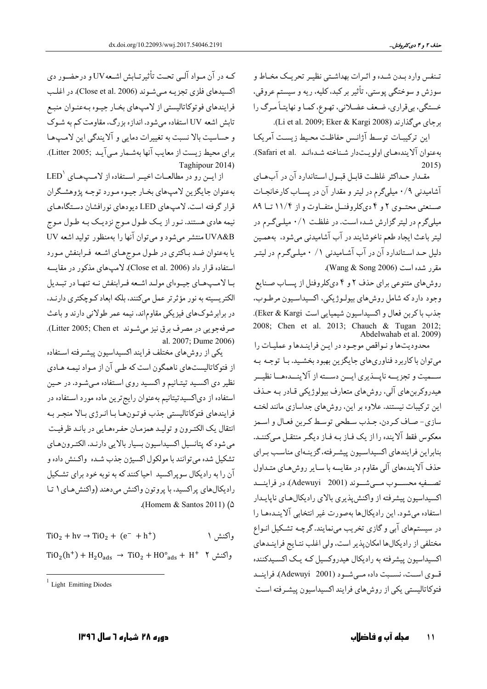تـنفس وارد بـدن شـده و اثـرات بهداشـتي نظيـر تحريـك مخـاط و سوزش و سوختگي پوستي، تأثير بر كبد، كليه، ريه و سيستم عروقي، خستگی، بیقراری، ضعف عضلانی، تهوع، کما و نهایتـاً مـرگ را بر حای می گذارند (Li et al. 2009; Eker & Kargi 2008).

اين تركيبات توسط آژانس حفاظت محيط زيست آمريكا به عنوان آلايندههاي اولويت دار شناخته شده انـد .Safari et al).  $2015$ 

مقبدار حیداکثر غلظت قابل قسول استاندارد آن در آبهبای آشامیدنی ۰/۹ میلیگرم در لیتر و مقدار آن در پســاب کارخانجــات صنعتی محتوی ۲ و ۴ دیکلروفنـل متفـاوت و از ۱۱/۴ تــا ۸۹ میلیگرم در لیتر گزارش شـده است. در غلظـت ۰/۱ میلـیگـرم در ليتر باعث ايجاد طعم ناخوشايند در آب آشاميدني مي شود، بههمين دلیل حـد اسـتاندارد آن در آب آشـامیدنی ۱/ ۰ میلـیگـرم در لیتـر مقرر شده است (Wang & Song 2006).

روش های متنوعی برای حذف ٢ و ۴ دیکلروفنل از پساب صنایع وجود دارد كه شامل روش هاي بيولـوژيكي، اكسيداسـيون مرطـوب، جذب باكربن فعال و اكسيداسيون شيميايي است Eker & Kargi). 2008; Chen et al. 2013; Chauch & Tugan 2012; Abdelwahab et al. 2009)

محدوديتها و نـواقص موجـود در ايـن فراينـدها و عمليـات را مي توان با كاربرد فناوري هاي جايگزين بهبود بخشـيد. بـا توجـه بـه ســمیت و تجزیـــه ناپـــذیری ایـــن دســـته از آلاینـــدهـــا نظیــر هیدروکربنهای آلی، روشهای متعارف بیولوژیکی قـادر بـه حـذف این ترکیبات نیستند. علاوه بر این، روشهای جداسازی مانند لختـه سازي- صـاف كـردن، جـذب سـطحي توسـط كـربن فعـال و اسـمز معکوس فقط آلاینده را از یک فیاز بیه فیاز دیگر منتقبل می کننید. بنابراین فرایندهای اکسیداسیون پیشرفته، گزینـهای مناسـب بـرای حذف آلایندههای آلی مقاوم در مقایسه با سایر روش های متـداول تصنفيه محسنوب منبي شنوند (Adewuyi 2001). در فرايننند اكسيداسيون ييشرفته از واكنش يذيري بالاي راديكالهاي نايايـدار استفاده میشود. این رادیکالها بهصورت غیر انتخابی آلاینـدهما را در سیستمهای آبی و گازی تخریب مینمایند. گرچـه تشـکیل انـواع مختلفی از رادیکالها امکان پذیر است، ولی اغلب نتـایج فراینـدهای اکسیداسیون پیشرفته به رادیکال هیدروکسیل کـه یـک اکسـیدکننده قسوى است، نسبت داده مسى شسود (Adewuyi 2001). فراينيد فتوكاتاليستي يكي از روش هاي فرايند اكسيداسيون ييشرفته است

کـه در آن مـواد آلـي تحـت تأثيرتـابش اشـعهUV و درحضـور دي اكسيدهاي فلزي تجزيـه مـيشـوند (Close et al. 2006). در اغلب فرایندهای فوتوکاتالیستی از لامپهای بخـار جیـوه بـهعنـوان منبـع تابش اشعه UV استفاده می شود. اندازه بزرگ، مقاومت کم به شـوک و حساسیت بالا نسبت به تغییرات دمایی و آلایندگی این لامپها برای محیط زیست از معایب آنها بهشمار می آیـد ;Litter 2005). Taghipour 2014)

از ایس رو در مطالعیات اخیب استفاده از لامیبهای LED بهعنوان جايگزين لامپهاي بخـار جيـوه مـورد توجـه پژوهشـگران قرار گرفته است. لامپهای LED دیودهای نورافشان دستگاههای نیمه هادي هستند. نـور از يـک طـول مـوج نزديـک بـه طـول مـوج UVA&B منتشر مى شود و مى توان آنها را بهمنظور توليد اشعه UV یا بهعنوان ضد باکتری در طول موجهای اشعه فرابنفش مورد استفاده قرار داد (Close et al. 2006). لامپهای مذکور در مقایسه بــا لامــيـهــاي جيــوءاي مولــد اشــعه فــرابنفش نــه تنهــا در تبــديل الکتریسیته به نور مؤثرتر عمل میکنند، بلکه ابعاد کـوچکتري دارنـد، در برابرشوکهای فیزیکی مقاوماند، نیمه عمر طولانی دارند و باعث صرفهجويي در مصرف برق نيز مي شـوند Litter 2005; Chen et). al. 2007: Dume 2006)

یکی از روش های مختلف فرایند اکسیداسیون پیشـرفته اسـتفاده از فتوکاتالیستهای ناهمگون است که طبی آن از مـواد نیمـه هـادی نظیر دی اکسید تیتـانیم و اکسـید روی اسـتفاده مـیشـود. در حـین استفاده از دیاکسیدتیتانیم بهعنوان رایج ترین ماده مورد استفاده در فرايندهاي فتوكاتاليستي جذب فوتـونهـا بـا انـرژي بـالا منجـر بـه انتقال يک الکتـرون و توليـد همزمـان حفـرههـايي در بانـد ظرفيـت مي شود كه يتانسيل اكسيداسيون بسيار بالايي دارنـد. الكتـرون هـاي تشكيل شده مي توانند با مولكول اكسيژن جذب شـده واكـنش داده و آن را به رادیکال سویراکسید احیاکنند که به نوبه خود برای تشکیل راديكالهاي پراكسيد، با پروتون واكنش مى دهند (واكنش هـاي ١ تـا .(Homem & Santos 2011) ( $\Delta$ 

$$
TiO2 + hv → TiO2 + (e- + h+)
$$
  
\n
$$
TiO2(h+) + H2Oads → TiO2 + HOoads + H+ Y
$$

 $1$  Light Emitting Diodes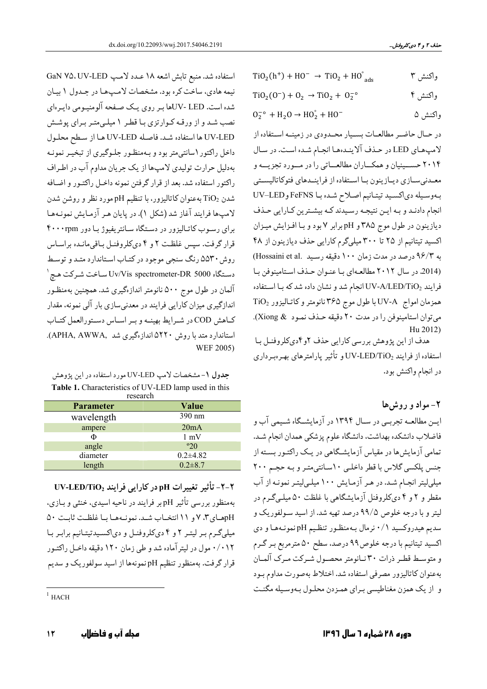$$
TiO_2(h^+) + HO^- \rightarrow TiO_2 + HO^{o}_{ads} \qquad \qquad \Upsilon
$$

$$
TiO2(O-) + O2 \rightarrow TiO2 + O2-o
$$

 $0_2^{-\circ}$  + H<sub>2</sub>O  $\rightarrow$  HO<sub>2</sub><sup>o</sup> + HO<sup>-</sup> واكنش ۵

در حـال حاضـر مطالعـات بسـيار محـدودي در زمينـه اسـتفاده از لامپهای LED در حذف آلاینـدهما انجـام شـده اسـت. در سـال ۲۰۱۴ حسسینیان و همکساران مطالعساتی را در مسورد تجزیسه و معـدنىسـازي ديـازينون بـا اسـتفاده از فراينـدهاي فتوكاتاليسـتي بهوسيله دي اكسيد تيتانيم اصلاح شده با FeFNS وUV-LED انجام دادنـد و بـه ايـن نتيجـه رسـيدند كـه بيشـترين كـارايي حـذف دیازینون در طول موج ۳۸۵ و pH برابر ۷ بود و با افزایش میزان اکسید تیتانیم از ۲۵ تا ۳۰۰ میلیگرم کارایی حذف دیازینون از ۴۸ به ۹۶/۳ درصد در مدت زمان ۱۰۰ دقیقه رسید .Hossaini et al (2014. در سال ٢٠١٢ مطالعهاي با عنوان حذف استامينوفن با فرايند UV-A/LED/TiO2 انجام شد و نشان داده شد كه بـا اسـتفاده همزمان امواج UV-A با طول موج ۳۶۵ نانومتر و کاتـاليزور TiO2 مي توان استامينوفن را در مدت ٢٠ دقيقه حـذف نمـود & Xiong). Hu 2012)

هدف از این پژوهش بررسی کارایی حذف ۲و ۴دیکلروفنـل با استفاده از فرایند UV-LED/TiO2 و تأثیر پارامترهای بهـرهبـرداری در انجام واکنش بود.

٢- مواد و روش ها

ایــن مطالعــه تجربــی در ســال ۱۳۹۴ در آزمایشــگاه شــیمی آب و فاضلاب دانشكده بهداشت. دانشگاه علوم پزشكي همدان انجام شـد. تمامی آزمایش ها در مقیاس آزمایشگاهی در یـک راکتـور بسـته از جنس پلکسی گلاس با قطر داخلی ۱۰ سانتی متر و به حجم ۲۰۰ میلی لیتر انجـام شـد. در هـر آزمـایش ۱۰۰ میلـی لیتـر نمونـه از آب مقطر و ۲ و ۴ دیکلروفنل آزمایشگاهی با غلظت ۵۰ میلـیگـرم در لیتر و با درجه خلوص ۹۹/۵ درصد تهیه شد. از اسید سـولفوریک و سدیم هیدروکسید ۰/۱ نرمال بـهمنظـور تنظـیم pH نمونـههـا و دی اکسید تیتانیم با درجه خلوص۹۹ درصد، سطح ۵۰ مترمربع بـر گـرم و متوسط قطر ذرات ٣٠ نـانومتر محصـول شـركت مـرك آلمـان بهعنوان كاتاليزور مصرفي استفاده شد. اختلاط بهصورت مداوم ببود و از یک همزن مغناطیسی بـرای همـزدن محلـول بـهوسـیله مگنـت

استفاده شد. منبع تابش اشعه ١٨ عـدد لامپ GaN ٧٥، UV-LED نيمه هادي، ساخت كره بود. مشخصات لامپها در جـدول ١ بيـان شده است. UV- LEDها بیر روی یک صفحه آلومنیومی داییرهای نصب شد و از ورقـه کـوارتزي بـا قطـر ١ ميلـي متـر بـراي پوشـش UV-LED ها استفاده شد. فاصله UV-LED هـا از سطح محلول داخل راکتور ۱سانتی متر بود و بـهمنظـور جلـوگیری از تبخیـر نمونـه بهدلیل حرارت تولیدی لامیها از یک جریان مداوم آب در اطراف راکتور استفاده شد. بعد از قرار گرفتن نمونه داخـل راکتـور و اضـافه شدن TiO2 بهعنوان كاتاليزور، با تنظيم pH مورد نظر و روشن شدن لامپها فرايند آغاز شد (شكل ۱). در پايان هـر آزمـايش نمونـههـا برای رسوب کاتـالیزور در دسـتگاه سـانتریفیوژ بـا دور ۴٠٠٠rpm قرار گرفت. سپس غلظت ۲ و ۴ دیکلروفنـل بـاقیمانـده براسـاس روش ۵۵۳۰ رنگ سنجی موجود در کتـاب اسـتاندارد متـد و توسـط دستگاه Uv/Vis spectrometer-DR 5000 ساخت شرکت هچ` آلمان در طول موج ۵۰۰ نانومتر اندازهگیری شد. همچنین بهمنظـور اندازگیری میزان کارایی فرایند در معدنیسازی بار آلی نمونه، مقدار کـاهش COD در شـرايط بهينــه و بــر اســاس دســتورالعمل کتــاب استاندارد متد با روش ۵۲۲۰ اندازهگیری شد ,APHA, AWWA). WEF 2005)

جدول ١- مشخصات لامپ UV-LED مورد استفاده در اين پژوهش Table 1. Characteristics of UV-LED lamp used in this<br>research

| 1000ar011        |                |
|------------------|----------------|
| <b>Parameter</b> | Value          |
| wavelength       | 390 nm         |
| ampere           | 20mA           |
| Φ                | $1 \text{ mV}$ |
| angle            | $^{\circ}20$   |
| diameter         | $0.2 + 4.82$   |
| length           | $0.2 \pm 8.7$  |

٢-٢- تأثير تغييرات pH در كارايي فرايند وUV-LED/TiO بهمنظور بررسی تأثیر pH بر فرایند در ناحیه اسیدی، خنثی و بـازی، pHههای ۲، ۷ و ۱۱ انتخـاب شـد. نمونـههـا بـا غلظـت ثابـت ۵۰ میلیگرم بر لیتر ۲ و ۴ دیکلروفنل و دیاکسیدتیتانیم برابر با ۰/۰۱۲ مول در لیترآماده شد و طی زمان ۱۲۰ دقیقه داخـل راکتـور قرار گرفت. بهمنظور تنظیم pH نمونهها از اسید سولفوریک و سدیم

 $1$  HACH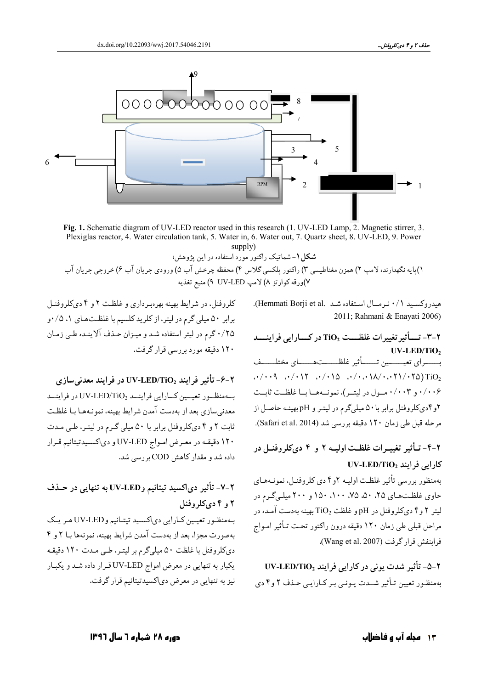

Fig. 1. Schematic diagram of UV-LED reactor used in this research (1. UV-LED Lamp, 2. Magnetic stirrer, 3. Plexiglas reactor, 4. Water circulation tank, 5. Water in, 6. Water out, 7. Quartz sheet, 8. UV-LED, 9. Power supply)

شکل ۱- شماتیک راکتور مورد استفاده در این پژوهش؛ ١)يايه نگهدارنده لامپ ٢) همزن مغناطيسي ٣) راكتور يلكسي گلاس ۴) محفظه چرخش آب ۵) ورودي جريان آب ۶) خروجي جريان آب ۷)ورقه کوارتز ۸) لامپ UV-LED ۹) منبع تغذیه

> هيدروكسيد ٠/١ نرمـال استفاده شـد .Hemmati Borji et al). 2011; Rahmani & Enayati 2006)

> ۲-۳- تـاً ثير تغييرات غلظــت TiO2 در كــارايي فراينـــد UV-LED/TiO2 بــــــراي تعيـــــــين تــــــأثير غلظــــــتهــــــاي مختلـــــف ۰/۰۰۶ و ۰/۰۰۴ مسول در لیتسر)، نمونسههسا بسا غلظـت ثابـت ۲و ۴دیکلروفنل برابر با ۵۰ میلیگرم در لیتـر و pH بهینـه حاصـل از مرحله قبل طي زمان ١٢٠ دقيقه بررسي شد (Safari et al. 2014).

> ۲-۴- تـأثير تغييـرات غلظـت اوليـه ۲ و ۴ دىكلروفنـل در  $UV-LED/TiO<sub>2</sub>$   $i,j$  $j,j$  $j$  $k$

> بهمنظور بررسي تأثير غلظت اوليـه ٢و٤ دي كلروفنـل. نمونـههـاي حاوی غلظتهای ۲۵، ۵۰، ۷۵، ۷۵، ۱۰۰، ۱۵۰ و ۲۰۰ میلیگرم در ليتر ٢ و۴ ديكلروفنل در pH و غلظت TiO2 بهينه بهدست آمـده در مراحل قبلی طی زمان ۱۲۰ دقیقه درون راکتور تحت تـأثیر امـواج فراينفش قرار گرفت (Wang et al. 2007).

Y-۵- تأثیر شدت یونی در کارایی فرایند UV-LED/TiO2 بهمنظـور تعیین تـأثیر شــدت یـونـی بـر کـارایـی حـذف ۲ و۴ دی

کلروفنل، در شرایط بهینه بهرهبرداری و غلظت ۲ و ۴ دی کلروفنـــا برابر ۵۰ میلی گرم در لیتر، از کلرید کلسیم با غلظتهای ۰/ ۰/ ۰و ۰/۲۵ گرم در لیتر استفاده شـد و میـزان حـذف آلاینـده طـی زمـان ۱۲۰ دقیقه مورد بررسی قرار گرفت.

٢-۶- تأثير فرايند UV-LED/TiO2 در فرايند معدني سازي به منظور تعيين كبارايي فراينيد UV-LED/TiO2 در فراينيد معدنی سازی بعد از بهدست آمدن شرایط بهینه، نمونـههـا بـا غلظـت ثابت ۲ و ۴ دیکلروفنل برابر با ۵۰ میلی گـرم در لیتـر، طـی مـدت ۱۲۰ دقیقه در معـرض امـواج UV-LED و دیاکسـیدتیتانیم قـرار داده شد و مقدار کاهش COD بر رسی شد.

۷-۲- تأثیر دی|کسید تیتانیم وUV-LED به تنهایی در حـذف ۲ و ۴ دیکلروفنل بهمنظور تعيين كارايي دي اكسيد تيتانيم وUV-LED هريك بهصورت مجزا، بعد از بهدست آمدن شرایط بهینه، نمونهها بـا ۲ و ۴ دی کلروفنل با غلظت ۵۰ میلیگرم بر لیتـر، طـی مـدت ۱۲۰ دقیقـه یکبار به تنهایی در معرض امواج UV-LED قـرار داده شـد و یکبـار نیز به تنهایی در معرض دیاکسیدتیتانیم قرار گرفت.

۱۳ - مجله آب و فاضلاب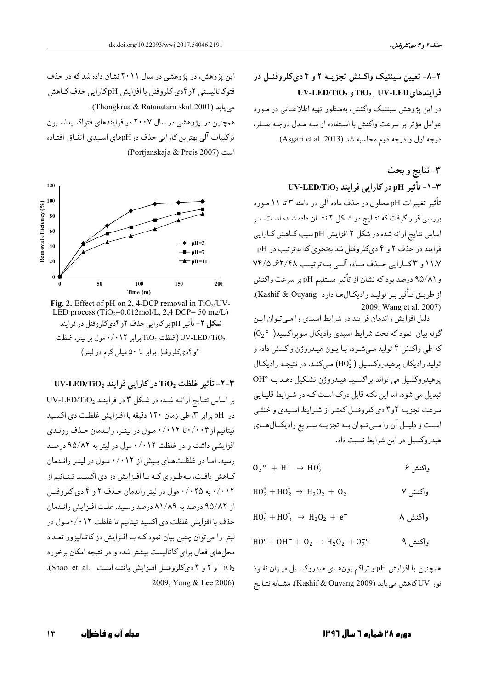۲-۸- تعیین سینتیک واکـنش تجزیــه ۲ و ۴ دیکلروفنــل در فرايندهاى TiO2, UV-LED و UV-LED/TiO2 در این یژوهش سینتیک واکنش، بهمنظور تهیه اطلاعیاتی در مـورد عوامل مؤثر بر سرعت واكنش با استفاده از سه مـدل درجـه صـفر، درجه اول و درجه دوم محاسبه شد (Asgari et al. 2013).

٣-نتايج و بحث

٣-١- تأثير pH در كارايي فرايند UV-LED/TiO2

تأثیر تغییرات pH محلول در حذف ماده آلی در دامنه ۳ تا ۱۱ مـورد بررسی قرار گرفت که نتـایج در شـکل ۲ نشـان داده شـده اسـت. بـر اساس نتایج ارائه شده در شکل ۲ افزایش pH سبب کـاهش کـارایی فرایند در حذف ۲ و ۴ دیکلروفنل شد بهنحوی که بهترتیب در pH ١١.٧ و ٣ كمارايي حـذف مـاده آلـي بـهترتيـب ٧٤/٥،۶٢/٤٨ و ۹۵/۸۲ درصد بود که نشان از تأثیر مستقیم pH بر سرعت واکنش از طريـق تـأثير بـر توليـد راديكـالهـا دارد Kashif & Ouyang). 2009; Wang et al. 2007)

دلیل افزایش راندمان فرایند در شرایط اسیدی را می توان ایـن گونه بیان نمود که تحت شرایط اسیدی رادیکال سوپراکسید(  $(0_2^{\texttt{-o}})$ كه طي واكنش ۴ توليد مـي شـود، بـا يـون هيـدروژن واكـنش داده و تولید رادیکال پرهیدروکسیل ( $\rm{HO}_{2}^{^{\circ}}$ ) میکند. در نتیجه رادیکال پرهیدروکسیل می تواند پراکسید هیـدروژن تشکیل دهـد بـه OH° تبدیل می شود. اما این نکته قابل درک است که در شرایط قلیایی سرعت تجزیـه ۲و۴ دي کلروفنـل کمتـر از شـرايط اسـيدي و خنثـي است و دلیـل آن را مـيتـوان بـه تجزيـه سـريع راديكـال هـاي هیدروکسیل در این شرایط نسبت داد.

$$
O_2^{\bullet - \circ} + H^+ \rightarrow HO_2^{\circ}
$$

$$
HO_2^{\circ} + HO_2^{\circ} \rightarrow H_2O_2 + O_2
$$
 
$$
\forall \text{if } O_2 \text{ and } O_2 \text{ is } O_2 \text{ and } O_2 \text{ is } O_2 \text{ and } O_2 \text{ is } O_2 \text{ and } O_2 \text{ is } O_2 \text{ is } O_2 \text{ and } O_2 \text{ is } O_2 \text{ is } O_2 \text{ is } O_2 \text{ is } O_2 \text{ is } O_2 \text{ is } O_2 \text{ is } O_2 \text{ is } O_2 \text{ is } O_2 \text{ is } O_2 \text{ is } O_2 \text{ is } O_2 \text{ is } O_2 \text{ is } O_2 \text{ is } O_2 \text{ is } O_2 \text{ is } O_2 \text{ is } O_2 \text{ is } O_2 \text{ is } O_2 \text{ is } O_2 \text{ is } O_2 \text{ is } O_2 \text{ is } O_2 \text{ is } O_2 \text{ is } O_2 \text{ is } O_2 \text{ is } O_2 \text{ is } O_2 \text{ is } O_2 \text{ is } O_2 \text{ is } O_2 \text{ is } O_2 \text{ is } O_2 \text{ is } O_2 \text{ is } O_2 \text{ is } O_2 \text{ is } O_2 \text{ is } O_2 \text{ is } O_2 \text{ is } O_2 \text{ is } O_2 \text{ is } O_2 \text{ is } O_2 \text{ is } O_2 \text{ is } O_2 \text{ is } O_2 \text{ is } O_2 \text{ is } O_2 \text{ is } O_2 \text{ is } O_2 \text{ is } O_2 \text{ is } O_2 \text{ is } O_2 \text{ is } O_2 \text{ is } O_2 \text{ is } O_2 \text{ is } O_2 \text{ is } O_2 \text{ is } O_2 \text{ is } O_2 \text{ is } O_2 \text{ is } O_2 \text{ is } O_2 \text{ is } O_2 \text{ is } O_2 \text{ is } O_2 \text{ is } O_2 \text{ is } O_2 \text{ is } O_2 \text{ is } O_2 \text{ is } O_2 \text{ is } O_2 \text{ is } O_2 \text{ is } O_2 \text{ is } O_2 \text{ is } O_2 \text{ is } O_2 \text{ is } O_2 \text
$$

- $HO_2^{\circ} + HO_2^{\circ} \rightarrow H_2O_2 + e^{-}$ واكنش ٨
- $HO^{\circ} + OH^{-} + O_{2} \rightarrow H_{2}O_{2} + O_{2}^{-}$ واكنش ۹

همچنین با افزایش pH و تراکم یونهای هیدروکسیل میزان نفوذ نور UVكاهش مي يابد (Kashif & Ouyang 2009). مشـابه نتـايج

این پژوهش، در پژوهشی در سال ۲۰۱۱ نشان داده شد که در حذف فتوكاتاليستى ٢و ۴دى كلروفنل با افزايش pH كارايي حذف كـاهش مي يابد (Thongkrua & Ratanatam skul 2001). همچنین در پژوهشی در سال ۲۰۰۷ در فرایندهای فتواکسیداسیون ترکیبات آلی بهترین کارایی حذف در pHهای اسیدی اتفـاق افتـاده (Portjanskaja & Preis 2007)



Fig. 2. Effect of pH on 2. 4-DCP removal in  $TiO<sub>2</sub>/UV-$ LED process  $(TiO_2=0.012 \text{mol/L}, 2.4 \text{ DCP} = 50 \text{ mg/L})$ **شکل ۲**-تأثیر pH بر کارایی حذف ۲و ۴دیکلروفنل در فرایند ن UV-LED/TiO, علظت TiO, براير ۰/۰۱۲ مول بر ليتر، غلظت ا $\sim 10$ ۲و ۴دیکلروفنل برابر با ۵۰ میلی گرم در لیتر)

 $UV-LED/TiO_2$  - تأثير غلظت TiO2 در كارايي فرايند TiO2-UV

بر اساس نتايج ارائه شده در شكل ٣ در فرايند UV-LED/TiO2 در pH برابر ٣، طي زمان ١٢٠ دقيقه با افزايش غلظت دي اكسيد تیتانیم از۰/۰۰۳تا ۰/۰۱۲ مول در لیتر، راندمان حذف روندی افزایشی داشت و در غلظت ۰/۰۱۲ مول در لیتر به ۹۵/۸۲ درصد رسید. اما در غلظتهای بیش از ۰/۰۱۲ مول در لیتر راندمان كـاهش يافـت، بـهطـوري كـه بـا افـزايش دز دي اكسـيد تيتـانيم از ۰/۰۱۲ به ۰/۰۲۵ مول در لیتر راندمان حـذف ۲ و ۴ دی کلروفنـل از ۹۵/۸۲ درصد به ۸۱/۸۹ درصد رسید. علت افزایش راندمان حذف با افزایش غلظت دی اکسید تیتانیم تا غلظت ۰/۰۱۲مول در لیتر را میتوان چنین بیان نمود کـه بـا افـزایش دز کاتـالیزور تعـداد محل های فعال برای کاتالیست بیشتر شده و در نتیجه امکان برخورد (Shao et al. و ۲ دیکلروفنـل افـزایش یافتـه است .Shao et al 2009; Yang & Lee 2006)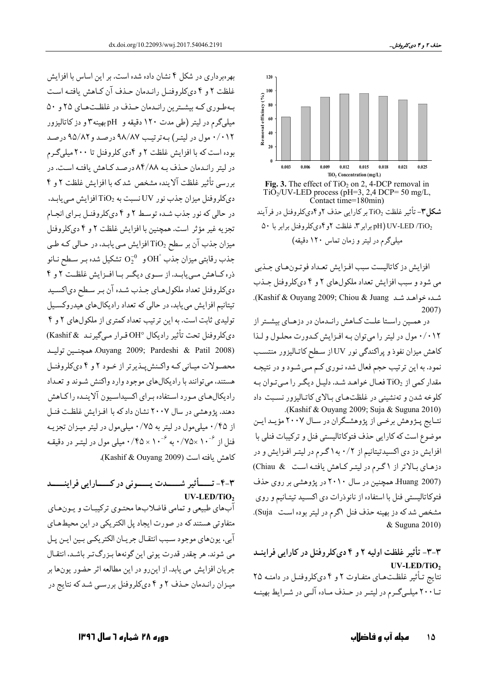

افزايش دز كاتاليست سبب افـزايش تعـداد فوتـونهـاي جـذبي مي شود و سبب افزايش تعداد ملكول هاي ٢ و ۴ دي كلروفنل حيذب شده خواهد شد Kashif & Ouyang 2009; Chiou & Juang). 2007)

در همین راستا علت کـاهش رانـدمان در دزهـای بیشـتر از ۰/۰۱۲ مول در لیتر را می توان به افزایش کدورت محلول و لـذا کاهش میزان نفوذ و پراکندگی نور UV از سطح کاتـالیزور منتسـب نمود. به این ترتیب حجم فعال شده نـوري كـم مـي شـود و در نتيجـه مقدار کمی از TiO2 فعـال خواهـد شـد. دليـل ديگـر را مـی تـوان بـه کلوخه شدن و تهنشینی در غلظتهای بالای کاتالیزور نسبت داد .(Kashif & Ouyang 2009; Suja & Suguna 2010).

نتــايج پــژوهش برخــي از پژوهشــگران در ســال ۲۰۰۷ مؤيــد ايــن موضوع است كه كارايي حذف فتوكاتاليستي فنل و تركيبات فنلي با افزایش دز دی اکسیدتیتانیم از ۰/۲ به ۱ گـرم در لیتـر افـزایش و در دزهای بالاتر از ۱ گرم در لیتر کاهش یافته است & Chiau) Huang 2007). همچنین در سال ۲۰۱۰ در پژوهشی بر روی حذف فتوكاتاليستي فنل با استفاده از نانوذرات دي اكسـيد تيتـانيم و روي مشخص شد که دز بهینه حذف فنل اگرم در لیتر بوده است Suja). & Suguna 2010)

۳-۳- تأثیر غلظت اولیه ۲ و ۴ دیکلر وفنل در کارایی فراینـد  $UV-LED/TiO<sub>2</sub>$ نتایج تأثیر غلظتهای متفاوت ٢ و ۴ دیکلروفنل در دامنـه ٢٥ تـا ۲۰۰ میلـیگـرم در لیتـر در حـذف مـاده آلـی در شـرایط بهینـه

بهرهبرداری در شکل ۴ نشان داده شده است. بر این اساس با افزایش غلظت ٢ و ۴ دي كلروفنـل رانـدمان حـذف آن كـاهش يافتـه اسـت بهطوری که بیشترین رانیدمان حذف در غلظتهای ۲۵ و ۵۰ میلی گرم در لیتر (طی مدت ۱۲۰ دقیقه و pH بهینه۳ و دز کاتالیزور ٠/٠١٢ مول در ليتر) به ترتيب ٩٨/٨٧ درصد و ٩٥/٨٢ درصد بوده است که با افزایش غلظت ۲ و ۴دی کلروفنل تا ۲۰۰میلی گیرم در لیتر رانـدمان حـذف بـه ٨۴/٨٨ درصـد كـاهش يافتـه اسـت. در بررسی تأثیر غلظت آلاینده مشخص شدکه با افزایش غلظت ۲ و ۴ دي كلروفنل ميزان جذب نور UV نسبت به TiO2 افزايش مي يابـد. در حالي كه نور جذب شـده توسـط ٢ و ۴ ديكلروفنـل بـراي انجـام تجزيه غير مؤثر است. همچنين با افزايش غلظت ٢ و ۴ ديكلروفنل میزان جذب آن بر سطح TiO2 افزایش می یابد، در حـالی کـه طـی جذب رقابتي ميزان جذب  $\rm OH\degree$ و  $\rm O_2^{-0}$  تشكيل شده بـر سـطح نـانو ذره کباهش مبی پابید. از سبوی دیگیر بیا افتزایش غلظت ۲ و ۴ دي كلروفنل تعداد ملكول هاي جـذب شـده آن بـر سـطح دي|كسـيد تیتانیم افزایش می یابد، در حالی که تعداد رادیکالهای هیدروکسیل تولیدی ثابت است. به این ترتیب تعداد کمتری از ملکولهای ۲ و ۴ دي كلروفنل تحت تأثير راديكال °OH قـرار مـيگيرنـد & Kashif) Ouyang 2009; Pardeshi & Patil 2008). همچنىين توليىد محصولات مياني كـه واكـنش پــذيرتر از خــود ٢ و ۴ دي كلروفنــل هستند، می توانند با رادیکالهای موجود وارد واکنش شـوند و تعـداد رادیکالهای مورد استفاده برای اکسیداسیون آلاینـده راکـاهش دهند. پژوهشی در سال ۲۰۰۷ نشان داد که با افـزایش غلظـت فنـل از ۰/۴۵ میلی مول در لیتر به ۰/۷۵ میلی مول در لیتر میزان تجزیـه فنل از ۰/ ۷۵×۰/۳۵ به ۰/۴۵ × ۰/۴۵ میلی مول در لیتـر در دقیقـه كاهش بافته است (Kashif & Ouyang 2009).

#### ۴-۳- تـــــأثير شـــــدت يـــــونى در كـــــارايى فراينـــــد  $UV-LED/TiO<sub>2</sub>$

آبهاي طبيعي و تمامي فاضلابها محتـوي تركيبـات و يـونهـاي متفاوتی هستند که در صورت ایجاد پل الکتریکی در این محیطهای آبي، يونهاي موجود سـبب انتقـال جريـان الكتريكـي بـين ايـن پـل می شوند. هر چقدر قدرت یونی این گونهها بـزرگتـر باشـد، انتقـال جريان افزايش مي يابد. از اين رو در اين مطالعه اثر حضور يونها بر میزان رانـدمان حـذف ٢ و ۴ ديكلروفنل بررسـي شـد كه نتايج در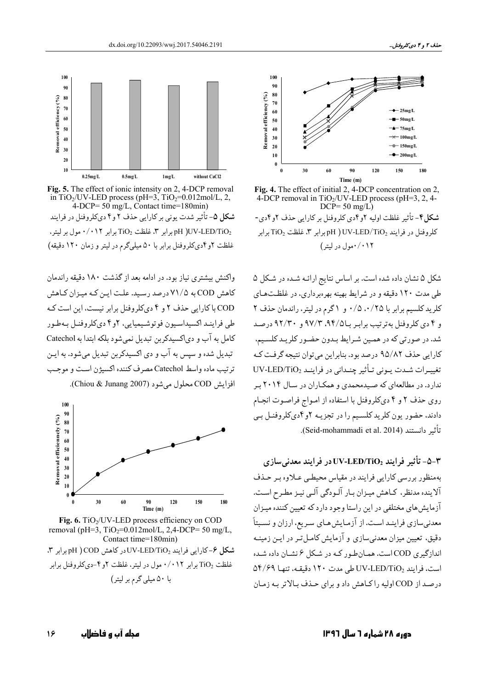

Fig. 5. The effect of ionic intensity on 2, 4-DCP removal in  $TiO_2$ /UV-LED process (pH=3,  $TiO_2=0.012$ mol/L, 2, 4-DCP= 50 mg/L, Contact time=180min) **شکل ۵**- تأثیر شدت یونی بر کارایی حذف ۲ و۴ دیکلروفنل در فرایند  $\cdot$  pH )UV-LED/TiO<sub>2</sub> برابر ۲iO<sub>2</sub> برابر ۲iO<sub>2</sub> برابر ۰/۰۱۲ مول بر ليتر غلظت او ادی کلروفنل برابر با ۵۰ میلیگرم در لیتر و زمان ۱۲۰ دقیقه)

واکنش بیشتری نیاز بود. در ادامه بعد از گذشت ۱۸۰ دقیقه راندمان کاهش COD به ۷۱/۵ درصد رسید. علت این کـه میـزان کـاهش COD با کارایی حذف ۲ و ۴ دیکلروفنل برابر نیست، این است ک طي فراينـد اكسيداسـيون فوتوشـيميايي، ٢و۴ ديكلروفنـل بـهطـور كامل به آب و دى اكسيدكربن تبديل نمى شود بلكه ابتدا به Catechol تبدیل شده و سپس به آب و دی اکسیدکربن تبدیل می شود. به ایـن ترتيب ماده واسط Catechol مصرف كننده اكسيژن است و موجب افزايش COD محلول مي شود (Chiou & Junang 2007).



Fig. 6. TiO<sub>2</sub>/UV-LED process efficiency on COD removal (pH=3, TiO<sub>2</sub>=0.012mol/L, 2,4-DCP= 50 mg/L, Contact time=180min) شکل ۶-کارایی فرایند UV-LED/TiO2در کاهش pH ) COD بر ابر ۳. غلظت TiO2 برابر ۰/۰۱۲ مول در لیتر، غلظت ۶و ۴-دیکلروفنل برابر با ۵۰ میلی گرم بر لیتر)



Fig. 4. The effect of initial 2, 4-DCP concentration on 2, 4-DCP removal in  $TiO_2/UV$ -LED process (pH=3, 2, 4- $DCP = 50$  mg/L) شکل۴- تأثیر غلظت اولیه ۲و۴دی کلروفنل بر کارایی حذف ۲و۴دی-

 $\mathrm{TiO}_2$  كلروفنل در فرايند pH ) UV-LED/TiO2 براير  $\mathrm{F}$  براير ۰۱۲/۰۱۲مول در لیتر)

شکل ۵ نشان داده شده است. بر اساس نتايج ارائـه شـده در شـكل ۵ طی مدت ۱۲۰ دقیقه و در شرایط بهینه بهروبر داری، در غلظتهای کلریدکلسیم برابر با ۰/۵،۰/۲۵ و ۶ گرم در لیتر، راندمان حذف ۲ و ۴ دې کلروفنل به ترتيب برابير بـ۹۴/۵۴، ۹۷/۳ و ۹۲/۳۰ درصد شد. در صورتی که در همین شـرایط بـدون حضـور کلریـد کلسـیم، کارایی حذف ۹۵/۸۲ درصد بود. بنابراین می توان نتیجه گرفت ک تغييرات شدت يـوني تـأثير چنـداني در فراينـد UV-LED/TiO2 ندارد. در مطالعهای که صیدمحمدی و همکـاران در سـال ۲۰۱۴ بـر روی حذف ۲ و ۴ دیکلروفنل با استفاده از امـواج فراصـوت انجـام دادند، حضور يون كلريد كلسيم را در تجزيـه ٢و٤ديكلروفنـل بـي تأثير دانستند (Seid-mohammadi et al. 2014).

-۵-۳ تأثیر فرایند UV-LED/TiO2 در فرایند معدنی سازی بهمنظور بررسی کارایی فرایند در مقیاس محیطی عبلاوه بیر حیذف آلاینده مدنظر، کـاهش میـزان بـار آلـودگی آلـی نیـز مطـرح اسـت. آزمایش های مختلفی در این راستا وجود دارد که تعیین کننده میـزان معدنی سازی فراینـد اسـت. از آزمـایش هـای سـریع، ارزان و نسـبتاً دقیق، تعیین میزان معدنیسازی و آزمایش کامـلتـر در ایــن زمینــه اندازگیری COD است. همـان طـور کـه در شـکل ۶ نشـان داده شـده  $\Delta f$ /۶۹ است، فرایند UV-LED/TiO2 طی مدت ۱۲۰ دقیقه، تنها ۵۴/۶۹ درصد از COD اولیه راکاهش داد و برای حـذف بـالاتر بـه زمـان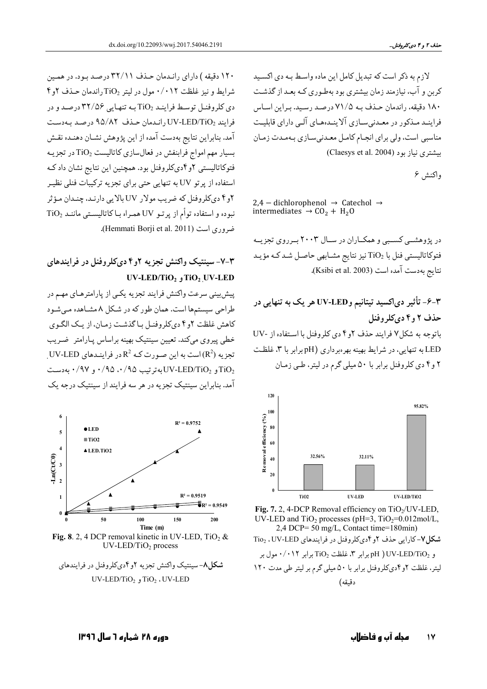۱۲۰ دقیقه ) دارای رانـدمان حـذف ۳۲/۱۱ درصـد بـود. در همـین شرايط و نيز غلظت ۰/۰۱۲ مول در ليتر TiO2راندمان حـذف ۲و۴ دي کلروفنـل توسـط فراينـد TiO2 بـه تنهـايي ۳۲/۵۶ درصـد و در فرايند UV-LED/TiO2 رانيدمان حيذف ٩٥/٨٢ درصيد بيه دست آمد. بنابراین نتایج بهدست آمده از این پژوهش نشـان دهنـده نقـش بسیار مهم امواج فرابنفش در فعالسازی کاتالیست TiO2 در تجزیـه فتوکاتالیستی ۲و ۴دیکلروفنل بود. همچنین این نتایج نشان دادکه استفاده از پرتو UV به تنهایی حتی برای تجزیه ترکیبات فنلی نظیـر ۲و۴ ديكلروفنل كه ضريب مولار UV بالايي دارنـد، چنـدان مـؤثر  $TiO<sub>2</sub>$ نبوده و استفاده توأم از پرتو UV همراه بـاكاتاليسـتى ماننـد ضروري است (Hemmati Borji et al. 2011).

## ۳-۷- سینتیک واکنش تجزیه ۲و۴ دیکلروفنل در فرایندهای UV-LED/TiO, , TiO, UV-LED

پیش بینی سرعت واکنش فرایند تجزیه یکبی از پارامترهـای مهـم در طراحی سیستمها است. همان طور که در شکل ۸ مشـاهده مـیشـود کاهش غلظت ۲و ۴ دی کلروفنیل بیا گذشت زمیان، از یک الگیوی خطی پیروی میکند. تعیین سینتیک بهینه براساس پـارامتر \_ضـریب  $UV$ -LED است به این صورت کـه  $R^2$ در فراینـدهای UV-LED لەترتىپ  $\cdot$ 40  $\cdot$  /40 لەترتىپ قە $\cdot$  /40  $\cdot$  /40 لەدست UV-LED/TiO2  $_2$ آمد. بنابراین سینتیک تجزیه در هر سه فرایند از سینتیک درجه یک



Fig. 8. 2, 4 DCP removal kinetic in UV-LED,  $TiO_2 \&$  $UV-LED/TiO<sub>2</sub>$  process

شکل۸-سینتیک واکنش تجزیه ۲و۴دیکلروفنل در فرایندهای UV-LED/TiO<sub>2</sub>, TiO<sub>2</sub>, UV-LED

لازم به ذکر است که تبدیل کامل این ماده واسط بـه دي اکسـید کربن و آب، نیازمند زمان بیشتری بود بهطـوری کـه بعـد از گذشـت ۱۸۰ دقیقه، راندمان حـذف بـه ۷۱/۵ درصـد رسـید. بـراین اسـاس فراینـد مـذکور در معـدنىسـازى آلاينـدهمـاى آلـى داراى قابليـت مناسبی است، ولی برای انجـام کامـل معـدنیسـازی بـهمـدت زمـان (Claesys et al. 2004) بیشتری نیاز بود

واكنش ع

 $2,4$  – dichlorophenol  $\rightarrow$  Catechol  $\rightarrow$ intermediates  $\rightarrow$  CO<sub>2</sub> + H<sub>2</sub>O

در پژوهشــی کســبی و همکــاران در ســال ۲۰۰۳ بــر روی تجزیــه فتوكاتاليستي فنل با TiO2 نيز نتايج مشـابهي حاصـل شـد كـه مؤيـد نتايج بهدست آمده است (Ksibi et al. 2003).

۳-۶- تأثیر دی[کسید تیتانیم و UV-LED هر یک به تنهایی در حذف ۲ و ۴ دې کلروفنل باتوجه به شكل V فرايند حذف ٢و٤ دى كلروفنل با استفاده از -UV LED به تنهایی، در شرایط بهینه بهرهبرداری (pHبرابر با ۳، غلظت ۲ و ۴ دی کلروفنل برابر با ۵۰ میلی گرم در لیتر، طبی زمـان



Fig. 7. 2, 4-DCP Removal efficiency on  $TiO_2/U$ -LED, UV-LED and  $TiO<sub>2</sub>$  processes (pH=3,  $TiO<sub>2</sub>=0.012$ mol/L, 2.4 DCP= 50 mg/L. Contact time=180min) شكل۷-كارايي حذف ۲و ۴دي كلروفنل در فرايندهاي Tio2 ، UV-LED و pH ) UV-LED/TiO2 برابر ۳، غلظت TiO2 برابر ۰/۰۱۲ مول بر لیتر، غلظت ۲و ۴دیکلروفنل برابر با ۵۰ میلی گرم بر لیتر طی مدت ۱۲۰ دقيقه)

> هدله أب و فاضلاب  $\mathsf{1}\mathsf{Y}$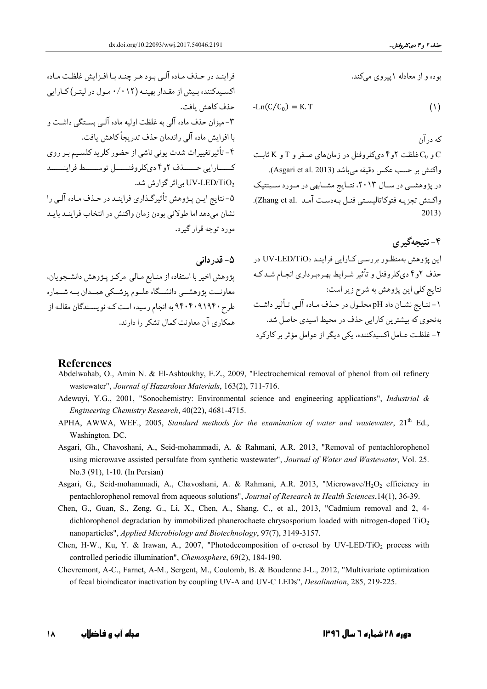حذف كاهش يافت.

مورد توجه قرار گېرد.

فراينـد در حـذف مـاده آلـى بـود هـر چنـد بـا افـزايش غلظـت مـاده

اکسیدکننده بیش از مقدار بهینـه (۰/۰۱۲ مـول در لیتـر) کـارایی

۳- میزان حذف ماده آلی به غلظت اولیه ماده آلبی بستگی داشت و

۴- تأثیر تغییرات شدت یونی ناشی از حضور کلرید کلسیم بر روی

كـــارايي حــــذف ٢و٤ دىكلروفنــــل توســــط فراينــــد

۵- نتایج ایـن پـژوهش تأثیرگـذاری فراینـد در حـذف مـاده آلـی را

نشان می دهد اما طولانی بودن زمان واکنش در انتخاب فرایند بایید

با افزایش ماده آلی راندمان حذف تدریجاً کاهش بافت.

بی اثر گزارش شد. UV-LED/TiO2

بوده و از معادله ۱پیروی میکند.

$$
Ln(C/C_0) = K.T
$$
 (1)

که در آن و C<sub>0</sub> غلظت ۲و۴ دیکلروفنل در زمانهای صفر و T و K ثابت واكنش بر حسب عكس دقيقه مي باشد (Asgari et al. 2013). در پژوهشـی در سـال ۲۰۱۳، نتـایج مشـابهی در مـورد سـینتیک واكنش تجزيه فتوكاتاليستي فنـل بـهدست آمـد .Zhang et al).  $2013$ 

۴- نتيجهگير ي

این پژوهش بهمنظـور بررسـی کــارایی فراینــد UV-LED/TiO2 در ۵– قدر دانی پژوهش اخیر با استفاده از منـابع مـالی مرکـز پـژوهش دانشـجويان، معاونــت پژوهشــي دانشــگاه علــوم پزشــکي همــدان بــه شــماره طرح ۹۴۰۴۰۹۱۹۴۰ به انجام رسیده است کـه نویسـندگان مقالـه از همکاری آن معاونت کمال تشکر را دارند.

# حذف ۲و۴ دیکلروفنل و تأثیر شـرایط بهـرهبـرداری انجـام شـدکـه نتایج کلی این پژوهش به شرح زیر است: ۱- نتـايج نشـان داد pH محلـول در حـذف مـاده آلـي تـأثير داشـت بهنجوی که بیشترین کارایی حذف در محیط اسیدی حاصل شد. ۲- غلظت عــامل اکســدکننده، یکی دیگر از عوامل مؤثر بر کارکرد

#### **References**

- Abdelwahab, O., Amin N. & El-Ashtoukhy, E.Z., 2009, "Electrochemical removal of phenol from oil refinery wastewater", Journal of Hazardous Materials, 163(2), 711-716.
- Adewuyi, Y.G., 2001, "Sonochemistry: Environmental science and engineering applications", Industrial & Engineering Chemistry Research, 40(22), 4681-4715.
- APHA, AWWA, WEF., 2005, Standard methods for the examination of water and wastewater, 21<sup>th</sup> Ed., Washington. DC.
- Asgari, Gh., Chavoshani, A., Seid-mohammadi, A. & Rahmani, A.R. 2013, "Removal of pentachlorophenol using microwave assisted persulfate from synthetic wastewater", Journal of Water and Wastewater, Vol. 25. No.3 (91), 1-10. (In Persian)
- Asgari, G., Seid-mohammadi, A., Chavoshani, A. & Rahmani, A.R. 2013, "Microwave/H<sub>2</sub>O<sub>2</sub> efficiency in pentachlorophenol removal from aqueous solutions", Journal of Research in Health Sciences, 14(1), 36-39.
- Chen, G., Guan, S., Zeng, G., Li, X., Chen, A., Shang, C., et al., 2013, "Cadmium removal and 2, 4dichlorophenol degradation by immobilized phanerochaete chrysosporium loaded with nitrogen-doped TiO<sub>2</sub> nanoparticles", Applied Microbiology and Biotechnology, 97(7), 3149-3157.
- Chen, H-W., Ku, Y. & Irawan, A., 2007, "Photodecomposition of o-cresol by UV-LED/TiO<sub>2</sub> process with controlled periodic illumination", Chemosphere, 69(2), 184-190.
- Chevremont, A-C., Farnet, A-M., Sergent, M., Coulomb, B. & Boudenne J-L., 2012, "Multivariate optimization of fecal bioindicator inactivation by coupling UV-A and UV-C LEDs", *Desalination*, 285, 219-225.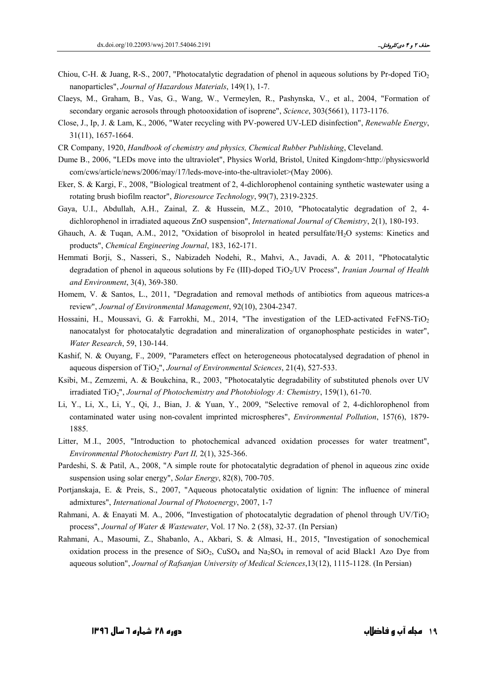- Chiou, C-H. & Juang, R-S., 2007, "Photocatalytic degradation of phenol in aqueous solutions by Pr-doped TiO2 nanoparticles", *Journal of Hazardous Materials*, 149(1), 1-7.
- Claeys, M., Graham, B., Vas, G., Wang, W., Vermeylen, R., Pashynska, V., et al., 2004, "Formation of secondary organic aerosols through photooxidation of isoprene", *Science*, 303(5661), 1173-1176.
- Close, J., Ip, J. & Lam, K., 2006, "Water recycling with PV-powered UV-LED disinfection", *Renewable Energy*, 31(11), 1657-1664.
- CR Company, 1920, *Handbook of chemistry and physics, Chemical Rubber Publishing*, Cleveland.
- Dume B., 2006, "LEDs move into the ultraviolet", Physics World, Bristol, United Kingdom<http://physicsworld com/cws/article/news/2006/may/17/leds-move-into-the-ultraviolet>(May 2006).
- Eker, S. & Kargi, F., 2008, "Biological treatment of 2, 4-dichlorophenol containing synthetic wastewater using a rotating brush biofilm reactor", *Bioresource Technology*, 99(7), 2319-2325.
- Gaya, U.I., Abdullah, A.H., Zainal, Z. & Hussein, M.Z., 2010, "Photocatalytic degradation of 2, 4 dichlorophenol in irradiated aqueous ZnO suspension", *International Journal of Chemistry*, 2(1), 180-193.
- Ghauch, A. & Tuqan, A.M., 2012, "Oxidation of bisoprolol in heated persulfate/H<sub>2</sub>O systems: Kinetics and products", *Chemical Engineering Journal*, 183, 162-171.
- Hemmati Borji, S., Nasseri, S., Nabizadeh Nodehi, R., Mahvi, A., Javadi, A. & 2011, "Photocatalytic degradation of phenol in aqueous solutions by Fe (III)-doped TiO<sub>2</sub>/UV Process", *Iranian Journal of Health and Environment*, 3(4), 369-380.
- Homem, V. & Santos, L., 2011, "Degradation and removal methods of antibiotics from aqueous matrices-a review", *Journal of Environmental Management*, 92(10), 2304-2347.
- Hossaini, H., Moussavi, G. & Farrokhi, M., 2014, "The investigation of the LED-activated FeFNS-TiO<sub>2</sub> nanocatalyst for photocatalytic degradation and mineralization of organophosphate pesticides in water", *Water Research*, 59, 130-144.
- Kashif, N. & Ouyang, F., 2009, "Parameters effect on heterogeneous photocatalysed degradation of phenol in aqueous dispersion of TiO<sub>2</sub>", *Journal of Environmental Sciences*, 21(4), 527-533.
- Ksibi, M., Zemzemi, A. & Boukchina, R., 2003, "Photocatalytic degradability of substituted phenols over UV irradiated TiO2", *Journal of Photochemistry and Photobiology A: Chemistry*, 159(1), 61-70.
- Li, Y., Li, X., Li, Y., Qi, J., Bian, J. & Yuan, Y., 2009, "Selective removal of 2, 4-dichlorophenol from contaminated water using non-covalent imprinted microspheres", *Environmental Pollution*, 157(6), 1879- 1885.
- Litter, M.I., 2005, "Introduction to photochemical advanced oxidation processes for water treatment", *Environmental Photochemistry Part II,* 2(1), 325-366.
- Pardeshi, S. & Patil, A., 2008, "A simple route for photocatalytic degradation of phenol in aqueous zinc oxide suspension using solar energy", *Solar Energy*, 82(8), 700-705.
- Portjanskaja, E. & Preis, S., 2007, "Aqueous photocatalytic oxidation of lignin: The influence of mineral admixtures", *International Journal of Photoenergy*, 2007, 1-7
- Rahmani, A. & Enayati M. A., 2006, "Investigation of photocatalytic degradation of phenol through UV/TiO<sub>2</sub> process", *Journal of Water & Wastewater*, Vol. 17 No. 2 (58), 32-37. (In Persian)
- Rahmani, A., Masoumi, Z., Shabanlo, A., Akbari, S. & Almasi, H., 2015, "Investigation of sonochemical oxidation process in the presence of  $SiO<sub>2</sub>$ , CuSO<sub>4</sub> and Na<sub>2</sub>SO<sub>4</sub> in removal of acid Black1 Azo Dye from aqueous solution", *Journal of Rafsanjan University of Medical Sciences*,13(12), 1115-1128. (In Persian)